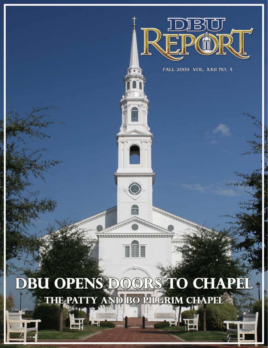

FALL 2009 VOL. XXII NO. 4

**COMMANDANT** 

## **DBU OPENS DOORS TO CHAPH** THE PATTY AND BO PILGRIM CHAPEL